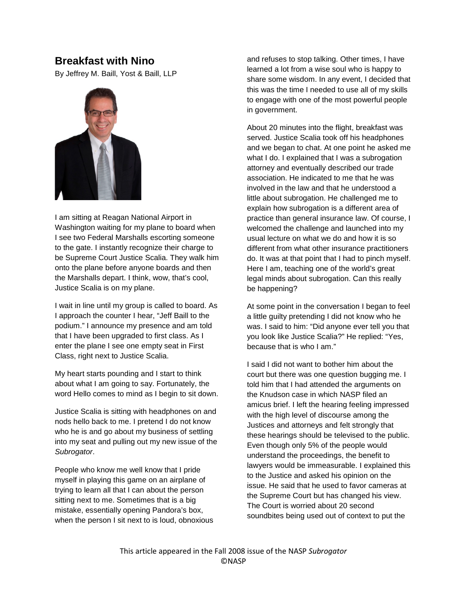## **Breakfast with Nino**

By Jeffrey M. Baill, Yost & Baill, LLP



I am sitting at Reagan National Airport in Washington waiting for my plane to board when I see two Federal Marshalls escorting someone to the gate. I instantly recognize their charge to be Supreme Court Justice Scalia. They walk him onto the plane before anyone boards and then the Marshalls depart. I think, wow, that's cool, Justice Scalia is on my plane.

I wait in line until my group is called to board. As I approach the counter I hear, "Jeff Baill to the podium." I announce my presence and am told that I have been upgraded to first class. As I enter the plane I see one empty seat in First Class, right next to Justice Scalia.

My heart starts pounding and I start to think about what I am going to say. Fortunately, the word Hello comes to mind as I begin to sit down.

Justice Scalia is sitting with headphones on and nods hello back to me. I pretend I do not know who he is and go about my business of settling into my seat and pulling out my new issue of the *Subrogator*.

People who know me well know that I pride myself in playing this game on an airplane of trying to learn all that I can about the person sitting next to me. Sometimes that is a big mistake, essentially opening Pandora's box, when the person I sit next to is loud, obnoxious

and refuses to stop talking. Other times, I have learned a lot from a wise soul who is happy to share some wisdom. In any event, I decided that this was the time I needed to use all of my skills to engage with one of the most powerful people in government.

About 20 minutes into the flight, breakfast was served. Justice Scalia took off his headphones and we began to chat. At one point he asked me what I do. I explained that I was a subrogation attorney and eventually described our trade association. He indicated to me that he was involved in the law and that he understood a little about subrogation. He challenged me to explain how subrogation is a different area of practice than general insurance law. Of course, I welcomed the challenge and launched into my usual lecture on what we do and how it is so different from what other insurance practitioners do. It was at that point that I had to pinch myself. Here I am, teaching one of the world's great legal minds about subrogation. Can this really be happening?

At some point in the conversation I began to feel a little guilty pretending I did not know who he was. I said to him: "Did anyone ever tell you that you look like Justice Scalia?" He replied: "Yes, because that is who I am."

I said I did not want to bother him about the court but there was one question bugging me. I told him that I had attended the arguments on the Knudson case in which NASP filed an amicus brief. I left the hearing feeling impressed with the high level of discourse among the Justices and attorneys and felt strongly that these hearings should be televised to the public. Even though only 5% of the people would understand the proceedings, the benefit to lawyers would be immeasurable. I explained this to the Justice and asked his opinion on the issue. He said that he used to favor cameras at the Supreme Court but has changed his view. The Court is worried about 20 second soundbites being used out of context to put the